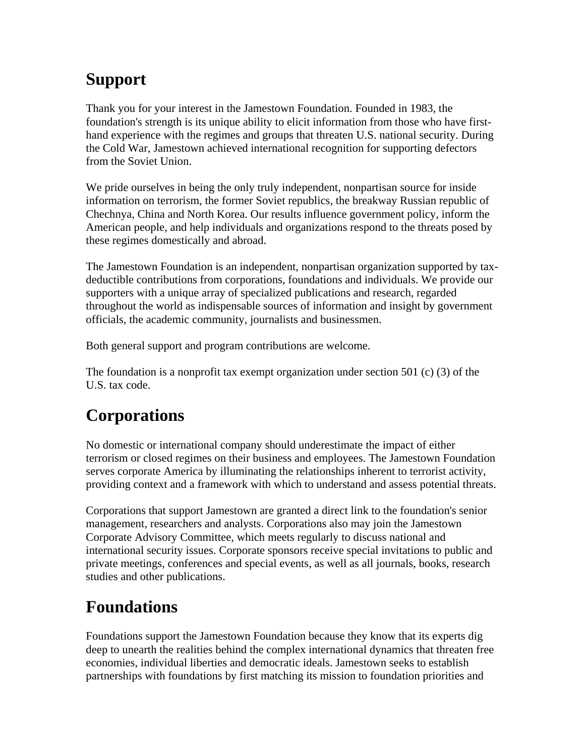## **Support**

Thank you for your interest in the Jamestown Foundation. Founded in 1983, the foundation's strength is its unique ability to elicit information from those who have firsthand experience with the regimes and groups that threaten U.S. national security. During the Cold War, Jamestown achieved international recognition for supporting defectors from the Soviet Union.

We pride ourselves in being the only truly independent, nonpartisan source for inside information on terrorism, the former Soviet republics, the breakway Russian republic of Chechnya, China and North Korea. Our results influence government policy, inform the American people, and help individuals and organizations respond to the threats posed by these regimes domestically and abroad.

The Jamestown Foundation is an independent, nonpartisan organization supported by taxdeductible contributions from corporations, foundations and individuals. We provide our supporters with a unique array of specialized publications and research, regarded throughout the world as indispensable sources of information and insight by government officials, the academic community, journalists and businessmen.

Both general support and program contributions are welcome.

The foundation is a nonprofit tax exempt organization under section 501 (c) (3) of the U.S. tax code.

## **Corporations**

No domestic or international company should underestimate the impact of either terrorism or closed regimes on their business and employees. The Jamestown Foundation serves corporate America by illuminating the relationships inherent to terrorist activity, providing context and a framework with which to understand and assess potential threats.

Corporations that support Jamestown are granted a direct link to the foundation's senior management, researchers and analysts. Corporations also may join the Jamestown Corporate Advisory Committee, which meets regularly to discuss national and international security issues. Corporate sponsors receive special invitations to public and private meetings, conferences and special events, as well as all journals, books, research studies and other publications.

## **Foundations**

Foundations support the Jamestown Foundation because they know that its experts dig deep to unearth the realities behind the complex international dynamics that threaten free economies, individual liberties and democratic ideals. Jamestown seeks to establish partnerships with foundations by first matching its mission to foundation priorities and